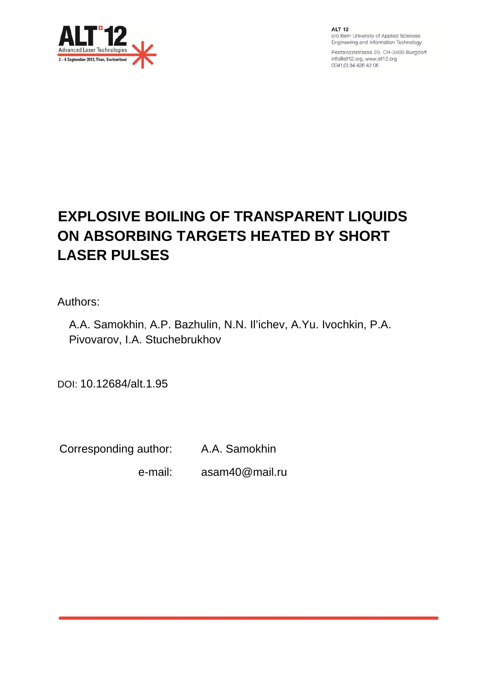

**ALT 12** c/o Bern University of Applied Sciences Engineering and Information Technology

Pestalozzistrasse 20, CH-3400 Burgdorf info@alt12.org, www.alt12.org 0041 (0) 34 426 42 06

# **EXPLOSIVE BOILING OF TRANSPARENT LIQUIDS ON ABSORBING TARGETS HEATED BY SHORT LASER PULSES**

Authors:

A.A. Samokhin, A.P. Bazhulin, N.N. Il'ichev, A.Yu. Ivochkin, P.A. Pivovarov, I.A. Stuchebrukhov

DOI: 10.12684/alt.1.95

Corresponding author: A.A. Samokhin

e-mail: asam40@mail.ru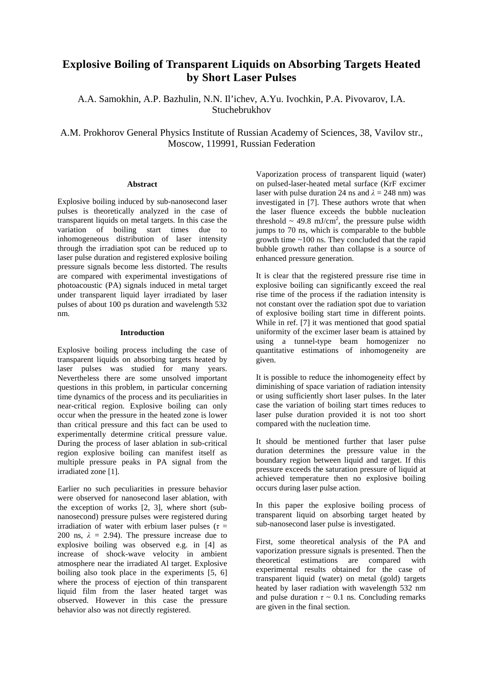# **Explosive Boiling of Transparent Liquids on Absorbing Targets Heated by Short Laser Pulses**

A.A. Samokhin, A.P. Bazhulin, N.N. Il'ichev, A.Yu. Ivochkin, P.A. Pivovarov, I.A. Stuchebrukhov

A.M. Prokhorov General Physics Institute of Russian Academy of Sciences, 38, Vavilov str., Moscow, 119991, Russian Federation

## **Abstract**

Explosive boiling induced by sub-nanosecond laser pulses is theoretically analyzed in the case of transparent liquids on metal targets. In this case the variation of boiling start times due to inhomogeneous distribution of laser intensity through the irradiation spot can be reduced up to laser pulse duration and registered explosive boiling pressure signals become less distorted. The results are compared with experimental investigations of photoacoustic (PA) signals induced in metal target under transparent liquid layer irradiated by laser pulses of about 100 ps duration and wavelength 532 nm.

# **Introduction**

Explosive boiling process including the case of transparent liquids on absorbing targets heated by laser pulses was studied for many years. Nevertheless there are some unsolved important questions in this problem, in particular concerning time dynamics of the process and its peculiarities in near-critical region. Explosive boiling can only occur when the pressure in the heated zone is lower than critical pressure and this fact can be used to experimentally determine critical pressure value. During the process of laser ablation in sub-critical region explosive boiling can manifest itself as multiple pressure peaks in PA signal from the irradiated zone [1].

Earlier no such peculiarities in pressure behavior were observed for nanosecond laser ablation, with the exception of works [2, 3], where short (subnanosecond) pressure pulses were registered during irradiation of water with erbium laser pulses ( $\tau$  = 200 ns,  $\lambda = 2.94$ ). The pressure increase due to explosive boiling was observed e.g. in [4] as increase of shock-wave velocity in ambient atmosphere near the irradiated Al target. Explosive boiling also took place in the experiments [5, 6] where the process of ejection of thin transparent liquid film from the laser heated target was observed. However in this case the pressure behavior also was not directly registered.

Vaporization process of transparent liquid (water) on pulsed-laser-heated metal surface (KrF excimer laser with pulse duration 24 ns and  $\lambda = 248$  nm) was investigated in [7]. These authors wrote that when the laser fluence exceeds the bubble nucleation threshold  $\sim$  49.8 mJ/cm<sup>2</sup>, the pressure pulse width jumps to 70 ns, which is comparable to the bubble growth time ~100 ns. They concluded that the rapid bubble growth rather than collapse is a source of enhanced pressure generation.

It is clear that the registered pressure rise time in explosive boiling can significantly exceed the real rise time of the process if the radiation intensity is not constant over the radiation spot due to variation of explosive boiling start time in different points. While in ref. [7] it was mentioned that good spatial uniformity of the excimer laser beam is attained by using a tunnel-type beam homogenizer no quantitative estimations of inhomogeneity are given.

It is possible to reduce the inhomogeneity effect by diminishing of space variation of radiation intensity or using sufficiently short laser pulses. In the later case the variation of boiling start times reduces to laser pulse duration provided it is not too short compared with the nucleation time.

It should be mentioned further that laser pulse duration determines the pressure value in the boundary region between liquid and target. If this pressure exceeds the saturation pressure of liquid at achieved temperature then no explosive boiling occurs during laser pulse action.

In this paper the explosive boiling process of transparent liquid on absorbing target heated by sub-nanosecond laser pulse is investigated.

First, some theoretical analysis of the PA and vaporization pressure signals is presented. Then the theoretical estimations are compared with experimental results obtained for the case of transparent liquid (water) on metal (gold) targets heated by laser radiation with wavelength 532 nm and pulse duration  $\tau \sim 0.1$  ns. Concluding remarks are given in the final section.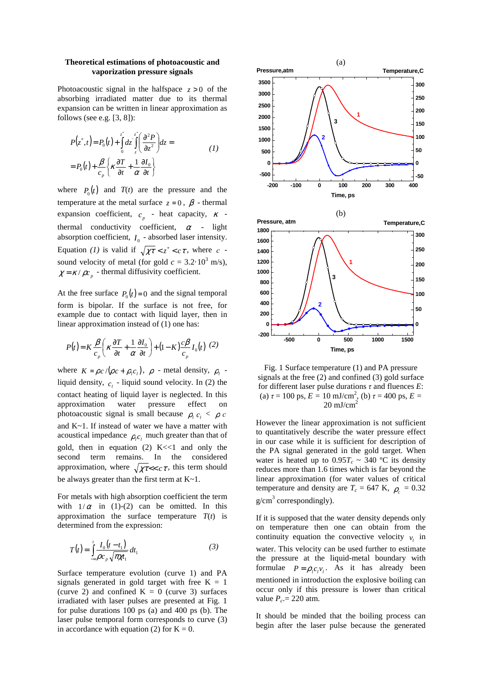#### **Theoretical estimations of photoacoustic and vaporization pressure signals**

Photoacoustic signal in the halfspace  $z > 0$  of the absorbing irradiated matter due to its thermal expansion can be written in linear approximation as follows (see e.g.  $[3, 8]$ ):

$$
P(z^*,t) = P_0(t) + \int_0^z dz \left[ \frac{\partial^2 P}{\partial z^2} \right] dz =
$$
  
=  $P_0(t) + \frac{\beta}{c_p} \left\{ \kappa \frac{\partial T}{\partial t} + \frac{1}{\alpha} \frac{\partial I_0}{\partial t} \right\}$  (1)

where  $P_0(t)$  and  $T(t)$  are the pressure and the temperature at the metal surface  $z = 0$ ,  $\beta$  - thermal expansion coefficient,  $c_p$  - heat capacity,  $\kappa$  thermal conductivity coefficient,  $\alpha$  - light absorption coefficient,  $I_0$  - absorbed laser intensity. Equation *(1)* is valid if  $\sqrt{\chi\tau} < z^* < c\tau$ , where *c* sound velocity of metal (for gold  $c = 3.2 \cdot 10^3$  m/s),  $\chi = \frac{\kappa}{\rho c_p}$  - thermal diffusivity coefficient.

At the free surface  $P_0(t)=0$  and the signal temporal form is bipolar. If the surface is not free, for example due to contact with liquid layer, then in linear approximation instead of (1) one has:

$$
P(t) = K \frac{\beta}{c_p} \left( \kappa \frac{\partial T}{\partial t} + \frac{1}{\alpha} \frac{\partial I_0}{\partial t} \right) + (1 - K) \frac{c \beta}{c_p} I_0(t) \tag{2}
$$

where  $K = \rho c / (\rho c + \rho_l c_l)$ ,  $\rho$  - metal density,  $\rho_l$  liquid density,  $c_i$  - liquid sound velocity. In (2) the contact heating of liquid layer is neglected. In this approximation water pressure effect on photoacoustic signal is small because  $\rho_l c_l < \rho c$ and K~1. If instead of water we have a matter with acoustical impedance  $\rho_{i} c_{i}$  much greater than that of gold, then in equation  $(2)$  K << 1 and only the second term remains. In the considered approximation, where  $\sqrt{\chi \tau} \ll c \tau$ , this term should be always greater than the first term at K~1.

For metals with high absorption coefficient the term with  $1/\alpha$  in (1)-(2) can be omitted. In this approximation the surface temperature  $T(t)$  is determined from the expression:

$$
T(t) = \int_{-\infty}^{t} \frac{I_0(t - t_1)}{\rho c_p \sqrt{\pi \chi t_1}} dt_1
$$
 (3)

Surface temperature evolution (curve 1) and PA signals generated in gold target with free  $K = 1$ (curve 2) and confined  $K = 0$  (curve 3) surfaces irradiated with laser pulses are presented at Fig. 1 for pulse durations 100 ps (a) and 400 ps (b). The laser pulse temporal form corresponds to curve (3) in accordance with equation (2) for  $K = 0$ .



Fig. 1 Surface temperature (1) and PA pressure signals at the free (2) and confined (3) gold surface for different laser pulse durations *τ* and fluences *E*: (a)  $\tau = 100$  ps,  $E = 10$  mJ/cm<sup>2</sup>, (b)  $\tau = 400$  ps,  $E =$  $20 \text{ mJ/cm}^2$ 

However the linear approximation is not sufficient to quantitatively describe the water pressure effect in our case while it is sufficient for description of the PA signal generated in the gold target. When water is heated up to  $0.95T_c \sim 340$  °C its density reduces more than 1.6 times which is far beyond the linear approximation (for water values of critical temperature and density are  $T_c = 647$  K,  $\rho_c = 0.32$  $g/cm<sup>3</sup>$  correspondingly).

If it is supposed that the water density depends only on temperature then one can obtain from the continuity equation the convective velocity  $v_i$  in water. This velocity can be used further to estimate the pressure at the liquid-metal boundary with formulae  $P = \rho_l c_l v_l$ . As it has already been mentioned in introduction the explosive boiling can occur only if this pressure is lower than critical value  $P_c = 220$  atm.

It should be minded that the boiling process can begin after the laser pulse because the generated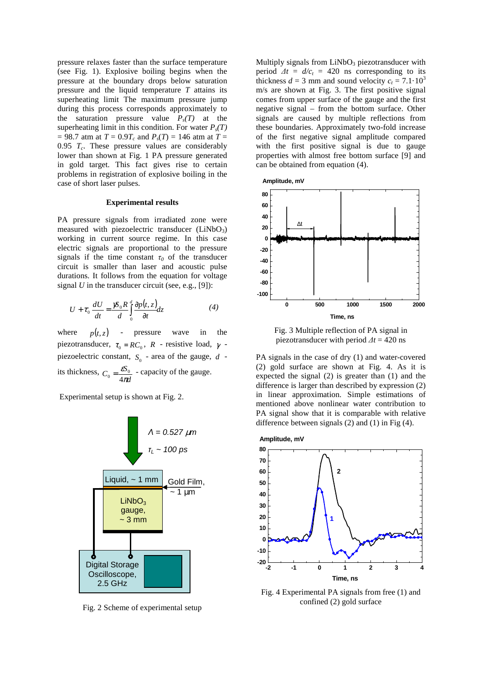pressure relaxes faster than the surface temperature (see Fig. 1). Explosive boiling begins when the pressure at the boundary drops below saturation pressure and the liquid temperature *T* attains its superheating limit The maximum pressure jump during this process corresponds approximately to the saturation pressure value  $P_s(T)$  at the superheating limit in this condition. For water  $P_s(T)$  $= 98.7$  atm at  $T = 0.9T_c$  and  $P_s(T) = 146$  atm at  $T =$ 0.95  $T_c$ . These pressure values are considerably lower than shown at Fig. 1 PA pressure generated in gold target. This fact gives rise to certain problems in registration of explosive boiling in the case of short laser pulses.

#### **Experimental results**

PA pressure signals from irradiated zone were measured with piezoelectric transducer  $(LiNbO<sub>3</sub>)$ working in current source regime. In this case electric signals are proportional to the pressure signals if the time constant  $\tau_0$  of the transducer circuit is smaller than laser and acoustic pulse durations. It follows from the equation for voltage signal  $U$  in the transducer circuit (see, e.g., [9]):

$$
U + \tau_0 \frac{dU}{dt} = \frac{\mathcal{B}_0 R}{d} \int_0^d \frac{\partial p(t, z)}{\partial t} dz
$$
 (4)

where  $p(t, z)$  - pressure wave in the piezotransducer,  $\tau_0 = RC_0$ , *R* - resistive load,  $\gamma$  piezoelectric constant,  $S_0$  - area of the gauge,  $d$  its thickness, *d*  $C_0 = \frac{\varepsilon S_0}{4\pi G}$ ε 4  $\sum_{0}^{\infty}$  =  $\frac{\epsilon S_0}{4\pi d}$  - capacity of the gauge.

Experimental setup is shown at Fig. 2.



Fig. 2 Scheme of experimental setup

Multiply signals from  $LiNbO<sub>3</sub>$  piezotransducer with period  $\Delta t = d/c_t = 420$  ns corresponding to its thickness  $d = 3$  mm and sound velocity  $c_t = 7.1 \cdot 10^3$ m/s are shown at Fig. 3. The first positive signal comes from upper surface of the gauge and the first negative signal – from the bottom surface. Other signals are caused by multiple reflections from these boundaries. Approximately two-fold increase of the first negative signal amplitude compared with the first positive signal is due to gauge properties with almost free bottom surface [9] and can be obtained from equation (4).



Fig. 3 Multiple reflection of PA signal in piezotransducer with period *∆t* = 420 ns

PA signals in the case of dry (1) and water-covered (2) gold surface are shown at Fig. 4. As it is expected the signal (2) is greater than (1) and the difference is larger than described by expression (2) in linear approximation. Simple estimations of mentioned above nonlinear water contribution to PA signal show that it is comparable with relative difference between signals (2) and (1) in Fig (4).



Fig. 4 Experimental PA signals from free (1) and confined (2) gold surface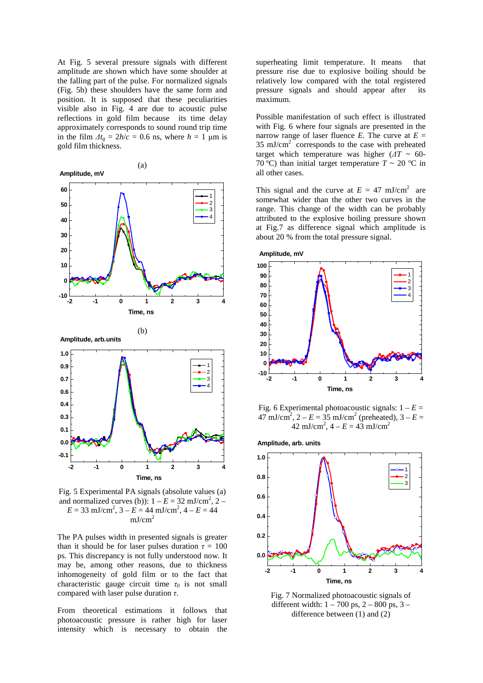At Fig. 5 several pressure signals with different amplitude are shown which have some shoulder at the falling part of the pulse. For normalized signals (Fig. 5b) these shoulders have the same form and position. It is supposed that these peculiarities visible also in Fig. 4 are due to acoustic pulse reflections in gold film because its time delay approximately corresponds to sound round trip time in the film  $\Delta t_e = 2h/c = 0.6$  ns, where  $h = 1$  µm is gold film thickness.



Fig. 5 Experimental PA signals (absolute values (a) and normalized curves (b)):  $1 - E = 32$  mJ/cm<sup>2</sup>,  $2 E = 33$  mJ/cm<sup>2</sup>,  $3 - E = 44$  mJ/cm<sup>2</sup>,  $4 - E = 44$  $mJ/cm<sup>2</sup>$ 

The PA pulses width in presented signals is greater than it should be for laser pulses duration  $\tau = 100$ ps. This discrepancy is not fully understood now. It may be, among other reasons, due to thickness inhomogeneity of gold film or to the fact that characteristic gauge circuit time  $\tau_0$  is not small compared with laser pulse duration *τ*.

From theoretical estimations it follows that photoacoustic pressure is rather high for laser intensity which is necessary to obtain the

superheating limit temperature. It means that pressure rise due to explosive boiling should be relatively low compared with the total registered pressure signals and should appear after its maximum.

Possible manifestation of such effect is illustrated with Fig. 6 where four signals are presented in the narrow range of laser fluence *E*. The curve at  $E =$  $35 \text{ mJ/cm}^2$  corresponds to the case with preheated target which temperature was higher  $(\Delta T \sim 60$ -70 °C) than initial target temperature  $T \sim 20$  °C in all other cases.

This signal and the curve at  $E = 47$  mJ/cm<sup>2</sup> are somewhat wider than the other two curves in the range. This change of the width can be probably attributed to the explosive boiling pressure shown at Fig.7 as difference signal which amplitude is about 20 % from the total pressure signal.



Fig. 6 Experimental photoacoustic signals:  $1 - E =$  $47 \text{ mJ/cm}^2$ ,  $2 - E = 35 \text{ mJ/cm}^2$  (preheated),  $3 - E =$ 42 mJ/cm<sup>2</sup>,  $4 - E = 43$  mJ/cm<sup>2</sup>

**Amplitude, arb. units**



Fig. 7 Normalized photoacoustic signals of different width:  $1 - 700$  ps,  $2 - 800$  ps,  $3$ difference between (1) and (2)